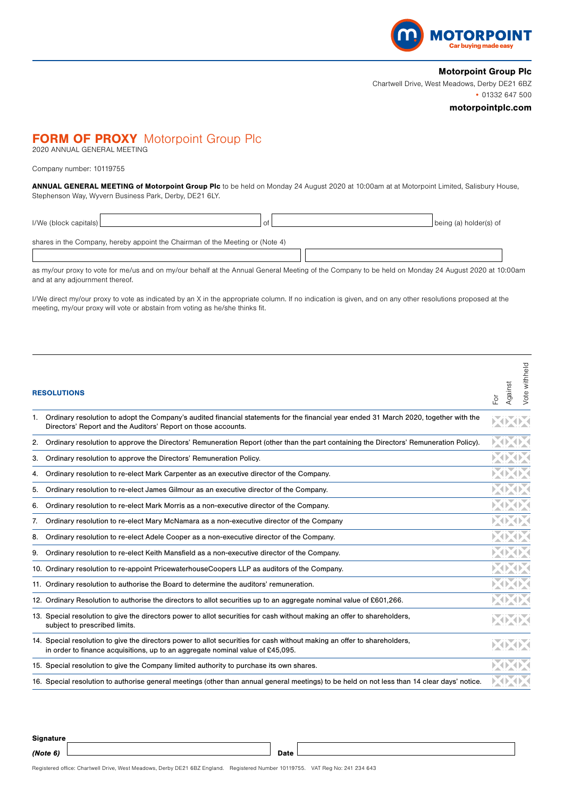

## Motorpoint Group Plc

Chartwell Drive, West Meadows, Derby DE21 6BZ • 01332 647 500

## motorpointplc.com

# **FORM OF PROXY** Motorpoint Group Plc

2020 ANNUAL GENERAL MEETING

### Company number: 10119755

ANNUAL GENERAL MEETING of Motorpoint Group Plc to be held on Monday 24 August 2020 at 10:00am at at Motorpoint Limited, Salisbury House, Stephenson Way, Wyvern Business Park, Derby, DE21 6LY.

| $I/We$ (block capitals) | 0f                                                                            | being (a) holder(s) of |
|-------------------------|-------------------------------------------------------------------------------|------------------------|
|                         | shares in the Company, hereby appoint the Chairman of the Meeting or (Note 4) |                        |
|                         |                                                                               |                        |

as my/our proxy to vote for me/us and on my/our behalf at the Annual General Meeting of the Company to be held on Monday 24 August 2020 at 10:00am and at any adjournment thereof.

I/We direct my/our proxy to vote as indicated by an X in the appropriate column. If no indication is given, and on any other resolutions proposed at the meeting, my/our proxy will vote or abstain from voting as he/she thinks fit.

| <b>RESOLUTIONS</b> |                                                                                                                                                                                                            |  | Vote withheld<br>Against |
|--------------------|------------------------------------------------------------------------------------------------------------------------------------------------------------------------------------------------------------|--|--------------------------|
|                    | 1. Ordinary resolution to adopt the Company's audited financial statements for the financial year ended 31 March 2020, together with the<br>Directors' Report and the Auditors' Report on those accounts.  |  |                          |
| 2.                 | Ordinary resolution to approve the Directors' Remuneration Report (other than the part containing the Directors' Remuneration Policy).                                                                     |  |                          |
| 3.                 | Ordinary resolution to approve the Directors' Remuneration Policy.                                                                                                                                         |  |                          |
| 4.                 | Ordinary resolution to re-elect Mark Carpenter as an executive director of the Company.                                                                                                                    |  |                          |
| 5.                 | Ordinary resolution to re-elect James Gilmour as an executive director of the Company.                                                                                                                     |  |                          |
| 6.                 | Ordinary resolution to re-elect Mark Morris as a non-executive director of the Company.                                                                                                                    |  |                          |
| 7.                 | Ordinary resolution to re-elect Mary McNamara as a non-executive director of the Company                                                                                                                   |  |                          |
| 8.                 | Ordinary resolution to re-elect Adele Cooper as a non-executive director of the Company.                                                                                                                   |  |                          |
| 9.                 | Ordinary resolution to re-elect Keith Mansfield as a non-executive director of the Company.                                                                                                                |  |                          |
|                    | 10. Ordinary resolution to re-appoint Pricewaterhouse Coopers LLP as auditors of the Company.                                                                                                              |  |                          |
|                    | 11. Ordinary resolution to authorise the Board to determine the auditors' remuneration.                                                                                                                    |  |                          |
|                    | 12. Ordinary Resolution to authorise the directors to allot securities up to an aggregate nominal value of £601,266.                                                                                       |  |                          |
|                    | 13. Special resolution to give the directors power to allot securities for cash without making an offer to shareholders,<br>subject to prescribed limits.                                                  |  |                          |
|                    | 14. Special resolution to give the directors power to allot securities for cash without making an offer to shareholders,<br>in order to finance acquisitions, up to an aggregate nominal value of £45,095. |  |                          |
|                    | 15. Special resolution to give the Company limited authority to purchase its own shares.                                                                                                                   |  |                          |
|                    | 16. Special resolution to authorise general meetings (other than annual general meetings) to be held on not less than 14 clear days' notice.                                                               |  |                          |

**Signature** 

(Note 6) Date